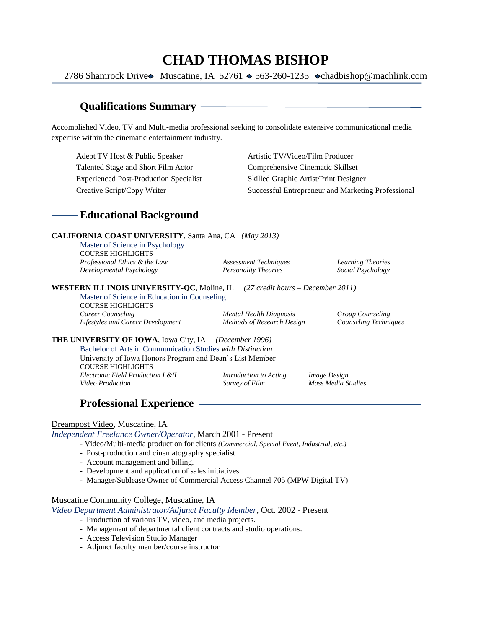# **CHAD THOMAS BISHOP**

2786 Shamrock Drive Muscatine, IA 52761  $\triangle$  563-260-1235  $\diamond$ [chadbishop@machlink.com](mailto:chadbishop@machlink.com)

## **Qualifications Summary**

Accomplished Video, TV and Multi-media professional seeking to consolidate extensive communicational media expertise within the cinematic entertainment industry.

Adept TV Host & Public Speaker Artistic TV/Video/Film Producer Talented Stage and Short Film Actor Comprehensive Cinematic Skillset Experienced Post-Production Specialist Skilled Graphic Artist/Print Designer

Creative Script/Copy Writer Successful Entrepreneur and Marketing Professional

## **Educational Background**

#### **CALIFORNIA COAST UNIVERSITY**, Santa Ana, CA *(May 2013)*

Master of Science in Psychology COURSE HIGHLIGHTS *Professional Ethics & the Law Assessment Techniques Learning Theories Developmental Psychology Personality Theories Social Psychology*

**WESTERN ILLINOIS UNIVERSITY-QC**, Moline, IL *(27 credit hours – December 2011)*

Master of Science in Education in Counseling COURSE HIGHLIGHTS *Career Counseling Mental Health Diagnosis Group Counseling Lifestyles and Career Development Methods of Research Design Counseling Techniques*

**THE UNIVERSITY OF IOWA**, Iowa City, IA *(December 1996)*

Bachelor of Arts in Communication Studies *with Distinction* University of Iowa Honors Program and Dean's List Member COURSE HIGHLIGHTS *Electronic Field Production I &II Introduction to Acting Image Design*

*Video Production Survey of Film Mass Media Studies*

# **Professional Experience**

#### Dreampost Video, Muscatine, IA

*Independent Freelance Owner/Operator,* March 2001 - Present

- Video/Multi-media production for clients *(Commercial, Special Event, Industrial, etc.)*
- Post-production and cinematography specialist
- Account management and billing.
- Development and application of sales initiatives.
- Manager/Sublease Owner of Commercial Access Channel 705 (MPW Digital TV)

#### Muscatine Community College, Muscatine, IA

*Video Department Administrator/Adjunct Faculty Member,* Oct. 2002 - Present

- Production of various TV, video, and media projects.
- Management of departmental client contracts and studio operations.
- Access Television Studio Manager
- Adjunct faculty member/course instructor